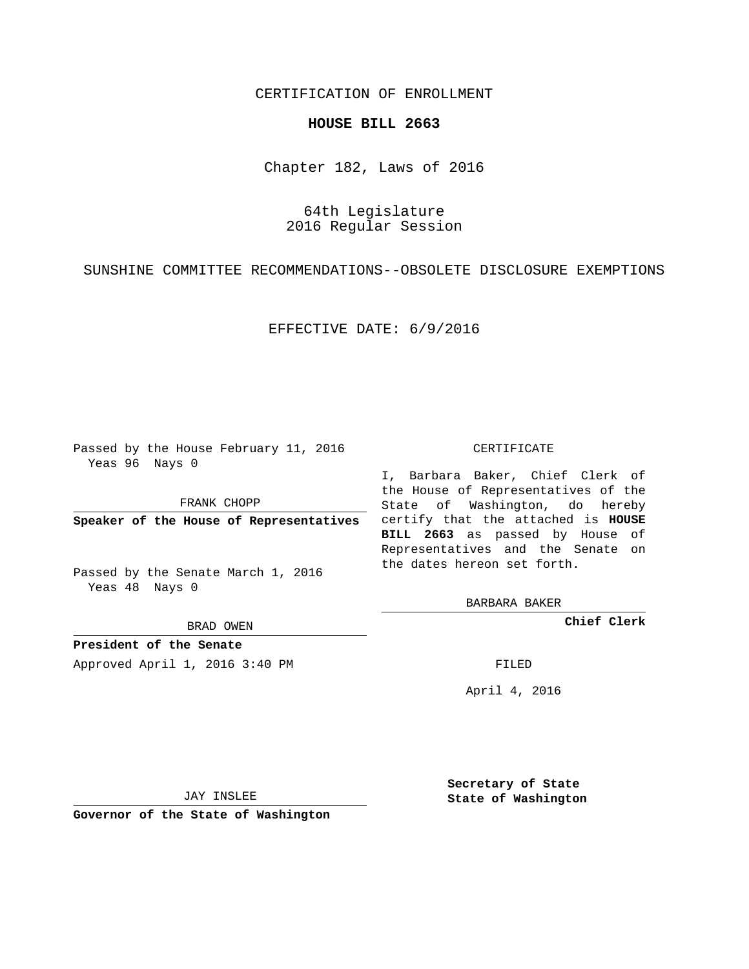CERTIFICATION OF ENROLLMENT

## **HOUSE BILL 2663**

Chapter 182, Laws of 2016

64th Legislature 2016 Regular Session

SUNSHINE COMMITTEE RECOMMENDATIONS--OBSOLETE DISCLOSURE EXEMPTIONS

EFFECTIVE DATE: 6/9/2016

Passed by the House February 11, 2016 Yeas 96 Nays 0

FRANK CHOPP

Passed by the Senate March 1, 2016 Yeas 48 Nays 0

BRAD OWEN

**President of the Senate**

Approved April 1, 2016 3:40 PM FILED

## CERTIFICATE

**Speaker of the House of Representatives** certify that the attached is **HOUSE** I, Barbara Baker, Chief Clerk of the House of Representatives of the State of Washington, do hereby **BILL 2663** as passed by House of Representatives and the Senate on the dates hereon set forth.

BARBARA BAKER

**Chief Clerk**

April 4, 2016

JAY INSLEE

**Governor of the State of Washington**

**Secretary of State State of Washington**